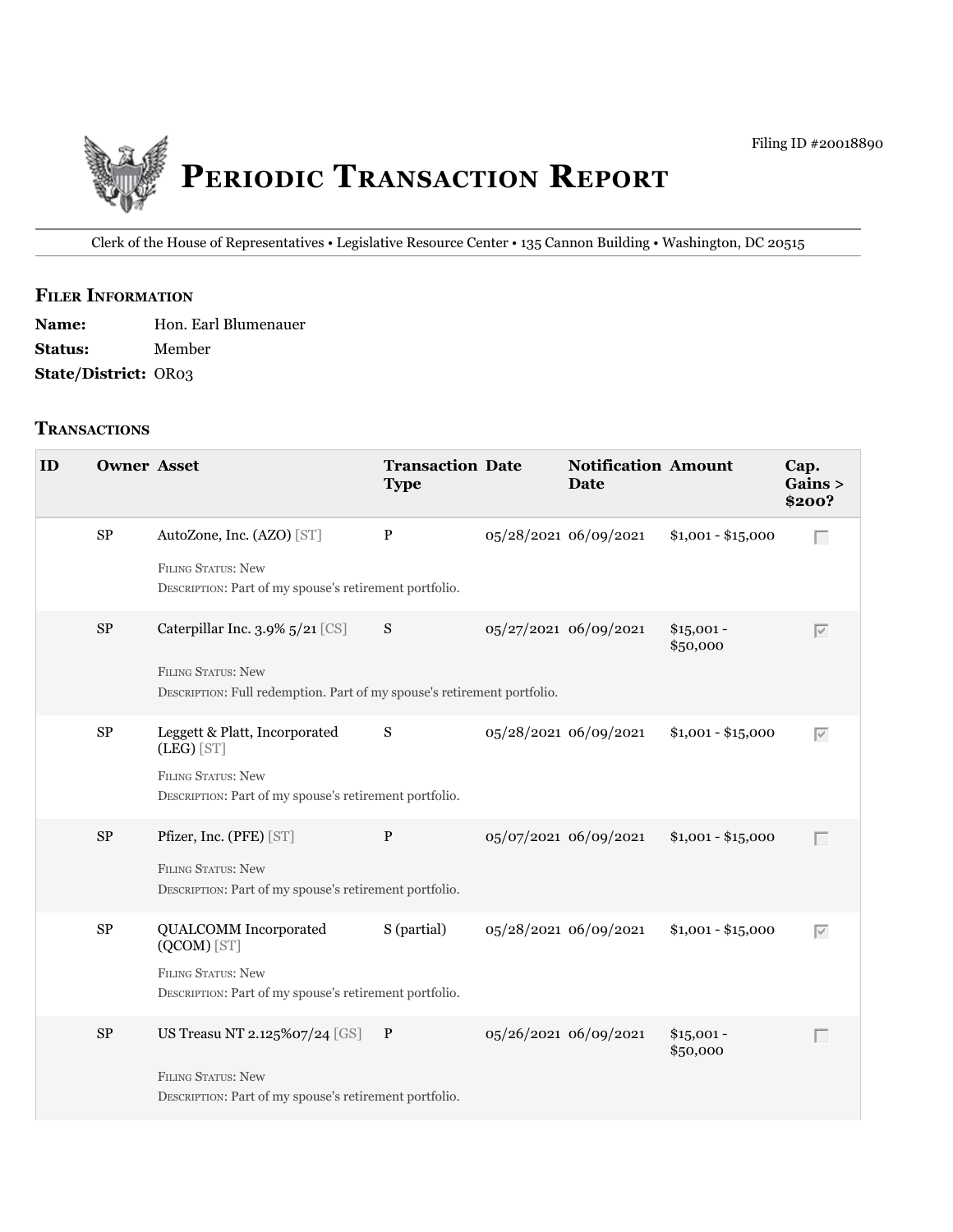

Clerk of the House of Representatives • legislative Resource Center • 135 Cannon Building • Washington, DC 20515

## **fIler INfOrmATION**

| <b>Name:</b>                | Hon. Earl Blumenauer |
|-----------------------------|----------------------|
| <b>Status:</b>              | Member               |
| <b>State/District: OR03</b> |                      |

## **TrANSACTIONS**

| ID | <b>Owner Asset</b> |                                                                                                                                         | <b>Transaction Date</b><br><b>Type</b> |                       | <b>Notification Amount</b><br><b>Date</b> |                         | Cap.<br>Gains ><br>\$200? |
|----|--------------------|-----------------------------------------------------------------------------------------------------------------------------------------|----------------------------------------|-----------------------|-------------------------------------------|-------------------------|---------------------------|
|    | ${\bf SP}$         | AutoZone, Inc. (AZO) [ST]<br>FILING STATUS: New<br>DESCRIPTION: Part of my spouse's retirement portfolio.                               | $\mathbf{P}$                           |                       | 05/28/2021 06/09/2021                     | $$1,001 - $15,000$      | Г                         |
|    | $\rm SP$           | Caterpillar Inc. 3.9% 5/21 [CS]<br><b>FILING STATUS: New</b><br>DESCRIPTION: Full redemption. Part of my spouse's retirement portfolio. | S                                      |                       | 05/27/2021 06/09/2021                     | $$15,001 -$<br>\$50,000 | $\overline{\vee}$         |
|    | ${\rm SP}$         | Leggett & Platt, Incorporated<br>$(LEG)$ [ST]<br><b>FILING STATUS: New</b><br>DESCRIPTION: Part of my spouse's retirement portfolio.    | S                                      |                       | 05/28/2021 06/09/2021                     | $$1,001 - $15,000$      | $\overline{\vee}$         |
|    | $\rm SP$           | Pfizer, Inc. (PFE) [ST]<br><b>FILING STATUS: New</b><br>DESCRIPTION: Part of my spouse's retirement portfolio.                          | $\mathbf{P}$                           |                       | 05/07/2021 06/09/2021                     | $$1,001 - $15,000$      | $\Box$                    |
|    | $\rm SP$           | <b>QUALCOMM</b> Incorporated<br>$(QCOM)$ [ST]<br>FILING STATUS: New<br>DESCRIPTION: Part of my spouse's retirement portfolio.           | S (partial)                            |                       | 05/28/2021 06/09/2021                     | $$1,001 - $15,000$      | $\overline{\vee}$         |
|    | $\rm SP$           | US Treasu NT 2.125%07/24 [GS] P<br><b>FILING STATUS: New</b><br>DESCRIPTION: Part of my spouse's retirement portfolio.                  |                                        | 05/26/2021 06/09/2021 |                                           | $$15,001 -$<br>\$50,000 | $\Box$                    |